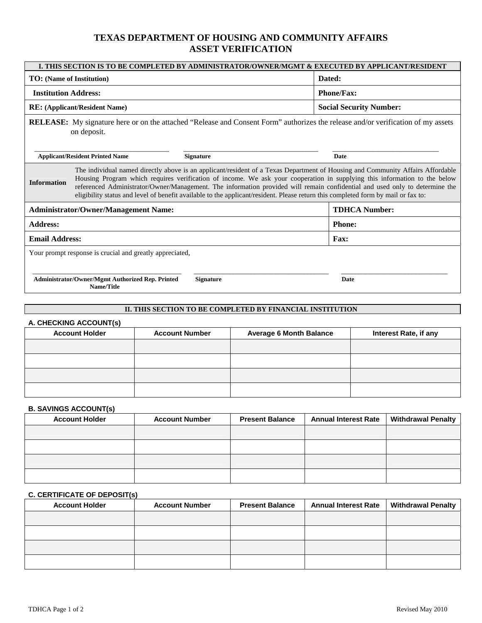# **TEXAS DEPARTMENT OF HOUSING AND COMMUNITY AFFAIRS ASSET VERIFICATION**

| Dated:<br><b>TO:</b> (Name of Institution)<br><b>Institution Address:</b><br><b>Phone/Fax:</b><br><b>Social Security Number:</b><br><b>RE:</b> (Applicant/Resident Name)<br>on deposit.<br><b>Applicant/Resident Printed Name</b><br><b>Signature</b><br>Date<br><b>Information</b> | I. THIS SECTION IS TO BE COMPLETED BY ADMINISTRATOR/OWNER/MGMT & EXECUTED BY APPLICANT/RESIDENT                                                                                                                                                                                                                                                                                                                                                                                                                                 |  |  |  |  |
|-------------------------------------------------------------------------------------------------------------------------------------------------------------------------------------------------------------------------------------------------------------------------------------|---------------------------------------------------------------------------------------------------------------------------------------------------------------------------------------------------------------------------------------------------------------------------------------------------------------------------------------------------------------------------------------------------------------------------------------------------------------------------------------------------------------------------------|--|--|--|--|
|                                                                                                                                                                                                                                                                                     |                                                                                                                                                                                                                                                                                                                                                                                                                                                                                                                                 |  |  |  |  |
|                                                                                                                                                                                                                                                                                     |                                                                                                                                                                                                                                                                                                                                                                                                                                                                                                                                 |  |  |  |  |
|                                                                                                                                                                                                                                                                                     |                                                                                                                                                                                                                                                                                                                                                                                                                                                                                                                                 |  |  |  |  |
|                                                                                                                                                                                                                                                                                     | <b>RELEASE:</b> My signature here or on the attached "Release and Consent Form" authorizes the release and/or verification of my assets                                                                                                                                                                                                                                                                                                                                                                                         |  |  |  |  |
|                                                                                                                                                                                                                                                                                     |                                                                                                                                                                                                                                                                                                                                                                                                                                                                                                                                 |  |  |  |  |
|                                                                                                                                                                                                                                                                                     | The individual named directly above is an applicant/resident of a Texas Department of Housing and Community Affairs Affordable<br>Housing Program which requires verification of income. We ask your cooperation in supplying this information to the below<br>referenced Administrator/Owner/Management. The information provided will remain confidential and used only to determine the<br>eligibility status and level of benefit available to the applicant/resident. Please return this completed form by mail or fax to: |  |  |  |  |
| <b>TDHCA Number:</b><br><b>Administrator/Owner/Management Name:</b>                                                                                                                                                                                                                 |                                                                                                                                                                                                                                                                                                                                                                                                                                                                                                                                 |  |  |  |  |
| <b>Address:</b><br><b>Phone:</b>                                                                                                                                                                                                                                                    |                                                                                                                                                                                                                                                                                                                                                                                                                                                                                                                                 |  |  |  |  |
| <b>Email Address:</b><br><b>Fax:</b>                                                                                                                                                                                                                                                |                                                                                                                                                                                                                                                                                                                                                                                                                                                                                                                                 |  |  |  |  |
| Your prompt response is crucial and greatly appreciated,                                                                                                                                                                                                                            |                                                                                                                                                                                                                                                                                                                                                                                                                                                                                                                                 |  |  |  |  |
| Administrator/Owner/Mgmt Authorized Rep. Printed<br><b>Signature</b><br>Date<br>Name/Title                                                                                                                                                                                          |                                                                                                                                                                                                                                                                                                                                                                                                                                                                                                                                 |  |  |  |  |

# **II. THIS SECTION TO BE COMPLETED BY FINANCIAL INSTITUTION**

## **A. CHECKING ACCOUNT(s)**

| $1.5$ of $1.5$ of $1.5$ of $1.5$ of $1.5$ of $1.5$ of $1.5$ of $1.5$ of $1.5$ of $1.5$ of $1.5$ of $1.5$ of $1.5$ of $1.5$ of $1.5$ of $1.5$ of $1.5$ of $1.5$ of $1.5$ of $1.5$ of $1.5$ of $1.5$ of $1.5$ of $1.5$ of $1.5$<br><b>Account Holder</b> | <b>Account Number</b> | <b>Average 6 Month Balance</b> | Interest Rate, if any |
|--------------------------------------------------------------------------------------------------------------------------------------------------------------------------------------------------------------------------------------------------------|-----------------------|--------------------------------|-----------------------|
|                                                                                                                                                                                                                                                        |                       |                                |                       |
|                                                                                                                                                                                                                                                        |                       |                                |                       |
|                                                                                                                                                                                                                                                        |                       |                                |                       |
|                                                                                                                                                                                                                                                        |                       |                                |                       |

## **B. SAVINGS ACCOUNT(s)**

| <b>Account Holder</b> | <b>Account Number</b> | <b>Present Balance</b> | <b>Annual Interest Rate</b> | <b>Withdrawal Penalty</b> |
|-----------------------|-----------------------|------------------------|-----------------------------|---------------------------|
|                       |                       |                        |                             |                           |
|                       |                       |                        |                             |                           |
|                       |                       |                        |                             |                           |
|                       |                       |                        |                             |                           |

# **C. CERTIFICATE OF DEPOSIT(s)**

| <b>Account Holder</b> | <b>Account Number</b> | <b>Present Balance</b> | <b>Annual Interest Rate</b> | <b>Withdrawal Penalty</b> |
|-----------------------|-----------------------|------------------------|-----------------------------|---------------------------|
|                       |                       |                        |                             |                           |
|                       |                       |                        |                             |                           |
|                       |                       |                        |                             |                           |
|                       |                       |                        |                             |                           |